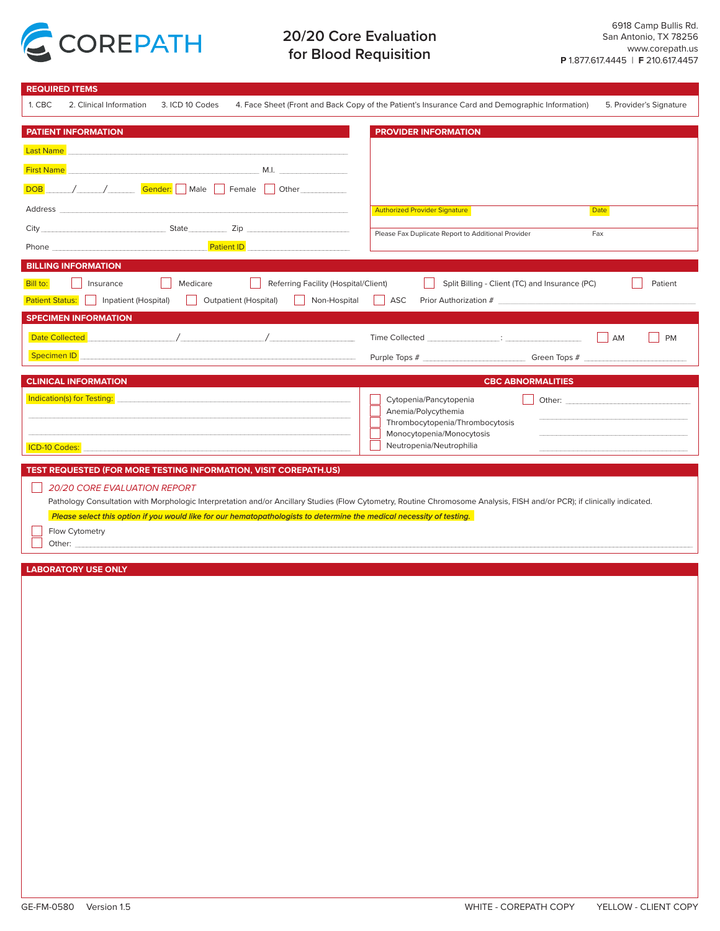

# **20/20 Core Evaluation for Blood Requisition**

| <b>REQUIRED ITEMS</b>                                                                                                                                                                                                                                                                                                                |                                                                                                                                                                                                                                                                                 |
|--------------------------------------------------------------------------------------------------------------------------------------------------------------------------------------------------------------------------------------------------------------------------------------------------------------------------------------|---------------------------------------------------------------------------------------------------------------------------------------------------------------------------------------------------------------------------------------------------------------------------------|
| 1. CBC<br>2. Clinical Information<br>3. ICD 10 Codes                                                                                                                                                                                                                                                                                 | 4. Face Sheet (Front and Back Copy of the Patient's Insurance Card and Demographic Information)<br>5. Provider's Signature                                                                                                                                                      |
| <b>PATIENT INFORMATION</b>                                                                                                                                                                                                                                                                                                           | <b>PROVIDER INFORMATION</b>                                                                                                                                                                                                                                                     |
| <b>Last Name</b>                                                                                                                                                                                                                                                                                                                     |                                                                                                                                                                                                                                                                                 |
|                                                                                                                                                                                                                                                                                                                                      |                                                                                                                                                                                                                                                                                 |
| <b>First Name</b><br>M.I.                                                                                                                                                                                                                                                                                                            |                                                                                                                                                                                                                                                                                 |
| / Gender: Male Female Other<br><b>DOB</b>                                                                                                                                                                                                                                                                                            |                                                                                                                                                                                                                                                                                 |
| Address                                                                                                                                                                                                                                                                                                                              | <b>Authorized Provider Signature</b><br><b>Date</b>                                                                                                                                                                                                                             |
| City State Zip                                                                                                                                                                                                                                                                                                                       | Please Fax Duplicate Report to Additional Provider<br>Fax                                                                                                                                                                                                                       |
| Phone experience and the state of the state of the state of the state of the state of the state of the state of the state of the state of the state of the state of the state of the state of the state of the state of the st<br><b>Patient ID EXECUTE:</b>                                                                         |                                                                                                                                                                                                                                                                                 |
| <b>BILLING INFORMATION</b>                                                                                                                                                                                                                                                                                                           |                                                                                                                                                                                                                                                                                 |
| Medicare<br>Bill to:<br>Referring Facility (Hospital/Client)<br>Insurance                                                                                                                                                                                                                                                            | Split Billing - Client (TC) and Insurance (PC)<br>Patient                                                                                                                                                                                                                       |
| Inpatient (Hospital)<br><b>Outpatient (Hospital)</b><br><b>Patient Status:</b><br>Non-Hospital                                                                                                                                                                                                                                       | ASC                                                                                                                                                                                                                                                                             |
|                                                                                                                                                                                                                                                                                                                                      |                                                                                                                                                                                                                                                                                 |
| <b>SPECIMEN INFORMATION</b>                                                                                                                                                                                                                                                                                                          |                                                                                                                                                                                                                                                                                 |
| $\sqrt{2}$ $\sqrt{2}$ $\sqrt{2}$ $\sqrt{2}$ $\sqrt{2}$ $\sqrt{2}$ $\sqrt{2}$ $\sqrt{2}$ $\sqrt{2}$ $\sqrt{2}$ $\sqrt{2}$ $\sqrt{2}$ $\sqrt{2}$ $\sqrt{2}$ $\sqrt{2}$ $\sqrt{2}$ $\sqrt{2}$ $\sqrt{2}$ $\sqrt{2}$ $\sqrt{2}$ $\sqrt{2}$ $\sqrt{2}$ $\sqrt{2}$ $\sqrt{2}$ $\sqrt{2}$ $\sqrt{2}$ $\sqrt{2}$ $\sqrt{2$<br>Date Collected | Time Collected <b>Exercise Exercise Collected</b> and the collected and the collected and the collected and the collected and the collected and the collected and the collected and the collected and the collected and the collect<br>AM<br><b>PM</b>                          |
| <b>Specimen ID</b>                                                                                                                                                                                                                                                                                                                   | Green Tops #<br>Purple Tops #                                                                                                                                                                                                                                                   |
| <b>CLINICAL INFORMATION</b>                                                                                                                                                                                                                                                                                                          | <b>CBC ABNORMALITIES</b>                                                                                                                                                                                                                                                        |
| Indication(s) for Testing:                                                                                                                                                                                                                                                                                                           |                                                                                                                                                                                                                                                                                 |
|                                                                                                                                                                                                                                                                                                                                      | Cytopenia/Pancytopenia<br>Other: The Communication of the Communication of the Communication of the Communication of the Communication of the Communication of the Communication of the Communication of the Communication of the Communication of the C<br>Anemia/Polycythemia |
|                                                                                                                                                                                                                                                                                                                                      | Thrombocytopenia/Thrombocytosis                                                                                                                                                                                                                                                 |
|                                                                                                                                                                                                                                                                                                                                      | Monocytopenia/Monocytosis                                                                                                                                                                                                                                                       |
| ICD-10 Codes:                                                                                                                                                                                                                                                                                                                        | Neutropenia/Neutrophilia                                                                                                                                                                                                                                                        |
| TEST REQUESTED (FOR MORE TESTING INFORMATION, VISIT COREPATH.US)                                                                                                                                                                                                                                                                     |                                                                                                                                                                                                                                                                                 |
|                                                                                                                                                                                                                                                                                                                                      |                                                                                                                                                                                                                                                                                 |
| <b>20/20 CORE EVALUATION REPORT</b>                                                                                                                                                                                                                                                                                                  |                                                                                                                                                                                                                                                                                 |
| Pathology Consultation with Morphologic Interpretation and/or Ancillary Studies (Flow Cytometry, Routine Chromosome Analysis, FISH and/or PCR); if clinically indicated.                                                                                                                                                             |                                                                                                                                                                                                                                                                                 |
| Please select this option if you would like for our hematopathologists to determine the medical necessity of testing.                                                                                                                                                                                                                |                                                                                                                                                                                                                                                                                 |
| Flow Cytometry                                                                                                                                                                                                                                                                                                                       |                                                                                                                                                                                                                                                                                 |
| Other: experience of the contract of the contract of the contract of the contract of the contract of the contract of the contract of the contract of the contract of the contract of the contract of the contract of the contr                                                                                                       |                                                                                                                                                                                                                                                                                 |
| <b>LABORATORY USE ONLY</b>                                                                                                                                                                                                                                                                                                           |                                                                                                                                                                                                                                                                                 |